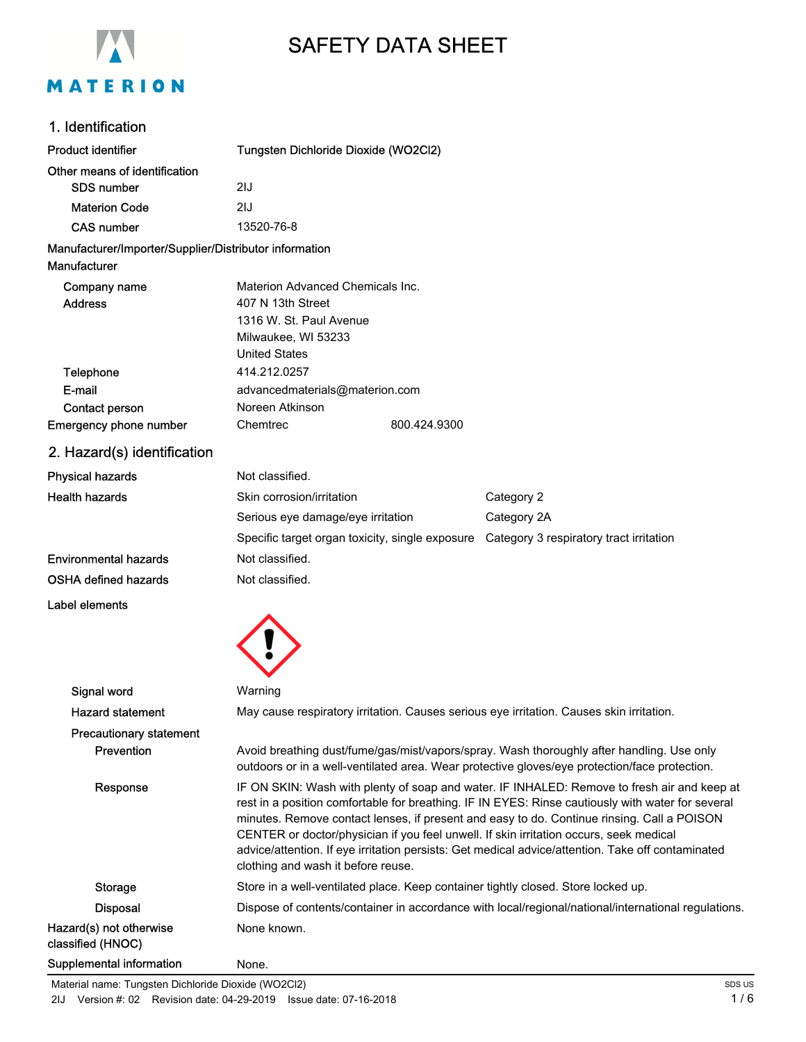

# SAFETY DATA SHEET

## 1. Identification

| <b>Product identifier</b>                                              | Tungsten Dichloride Dioxide (WO2Cl2)                                                                                                                                                                                                                                                                                                                                                                                                                                                                                                |              |                                                                                          |
|------------------------------------------------------------------------|-------------------------------------------------------------------------------------------------------------------------------------------------------------------------------------------------------------------------------------------------------------------------------------------------------------------------------------------------------------------------------------------------------------------------------------------------------------------------------------------------------------------------------------|--------------|------------------------------------------------------------------------------------------|
| Other means of identification                                          |                                                                                                                                                                                                                                                                                                                                                                                                                                                                                                                                     |              |                                                                                          |
| <b>SDS number</b>                                                      | 2IJ                                                                                                                                                                                                                                                                                                                                                                                                                                                                                                                                 |              |                                                                                          |
| <b>Materion Code</b>                                                   | 2IJ                                                                                                                                                                                                                                                                                                                                                                                                                                                                                                                                 |              |                                                                                          |
| <b>CAS number</b>                                                      | 13520-76-8                                                                                                                                                                                                                                                                                                                                                                                                                                                                                                                          |              |                                                                                          |
| Manufacturer/Importer/Supplier/Distributor information<br>Manufacturer |                                                                                                                                                                                                                                                                                                                                                                                                                                                                                                                                     |              |                                                                                          |
| Company name<br><b>Address</b>                                         | Materion Advanced Chemicals Inc.<br>407 N 13th Street<br>1316 W. St. Paul Avenue<br>Milwaukee, WI 53233<br><b>United States</b>                                                                                                                                                                                                                                                                                                                                                                                                     |              |                                                                                          |
| Telephone                                                              | 414.212.0257                                                                                                                                                                                                                                                                                                                                                                                                                                                                                                                        |              |                                                                                          |
| E-mail                                                                 | advancedmaterials@materion.com                                                                                                                                                                                                                                                                                                                                                                                                                                                                                                      |              |                                                                                          |
| Contact person                                                         | Noreen Atkinson                                                                                                                                                                                                                                                                                                                                                                                                                                                                                                                     |              |                                                                                          |
| Emergency phone number                                                 | Chemtrec                                                                                                                                                                                                                                                                                                                                                                                                                                                                                                                            | 800.424.9300 |                                                                                          |
| 2. Hazard(s) identification                                            |                                                                                                                                                                                                                                                                                                                                                                                                                                                                                                                                     |              |                                                                                          |
| <b>Physical hazards</b>                                                | Not classified.                                                                                                                                                                                                                                                                                                                                                                                                                                                                                                                     |              |                                                                                          |
| <b>Health hazards</b>                                                  | Skin corrosion/irritation                                                                                                                                                                                                                                                                                                                                                                                                                                                                                                           |              | Category 2                                                                               |
|                                                                        | Serious eye damage/eye irritation                                                                                                                                                                                                                                                                                                                                                                                                                                                                                                   |              | Category 2A                                                                              |
|                                                                        |                                                                                                                                                                                                                                                                                                                                                                                                                                                                                                                                     |              | Specific target organ toxicity, single exposure  Category 3 respiratory tract irritation |
| <b>Environmental hazards</b>                                           | Not classified.                                                                                                                                                                                                                                                                                                                                                                                                                                                                                                                     |              |                                                                                          |
| <b>OSHA defined hazards</b>                                            | Not classified.                                                                                                                                                                                                                                                                                                                                                                                                                                                                                                                     |              |                                                                                          |
| Label elements                                                         |                                                                                                                                                                                                                                                                                                                                                                                                                                                                                                                                     |              |                                                                                          |
|                                                                        |                                                                                                                                                                                                                                                                                                                                                                                                                                                                                                                                     |              |                                                                                          |
| Signal word                                                            | Warning                                                                                                                                                                                                                                                                                                                                                                                                                                                                                                                             |              |                                                                                          |
| <b>Hazard statement</b>                                                |                                                                                                                                                                                                                                                                                                                                                                                                                                                                                                                                     |              | May cause respiratory irritation. Causes serious eye irritation. Causes skin irritation. |
| <b>Precautionary statement</b>                                         |                                                                                                                                                                                                                                                                                                                                                                                                                                                                                                                                     |              |                                                                                          |
| Prevention                                                             | Avoid breathing dust/fume/gas/mist/vapors/spray. Wash thoroughly after handling. Use only<br>outdoors or in a well-ventilated area. Wear protective gloves/eye protection/face protection.                                                                                                                                                                                                                                                                                                                                          |              |                                                                                          |
| Response                                                               | IF ON SKIN: Wash with plenty of soap and water. IF INHALED: Remove to fresh air and keep at<br>rest in a position comfortable for breathing. IF IN EYES: Rinse cautiously with water for several<br>minutes. Remove contact lenses, if present and easy to do. Continue rinsing. Call a POISON<br>CENTER or doctor/physician if you feel unwell. If skin irritation occurs, seek medical<br>advice/attention. If eye irritation persists: Get medical advice/attention. Take off contaminated<br>clothing and wash it before reuse. |              |                                                                                          |
| <b>Storage</b>                                                         |                                                                                                                                                                                                                                                                                                                                                                                                                                                                                                                                     |              | Store in a well-ventilated place. Keep container tightly closed. Store locked up.        |
| <b>Disposal</b>                                                        | Dispose of contents/container in accordance with local/regional/national/international regulations.                                                                                                                                                                                                                                                                                                                                                                                                                                 |              |                                                                                          |
| Hazard(s) not otherwise<br>classified (HNOC)                           | None known.                                                                                                                                                                                                                                                                                                                                                                                                                                                                                                                         |              |                                                                                          |
| <b>Supplemental information</b>                                        | None.                                                                                                                                                                                                                                                                                                                                                                                                                                                                                                                               |              |                                                                                          |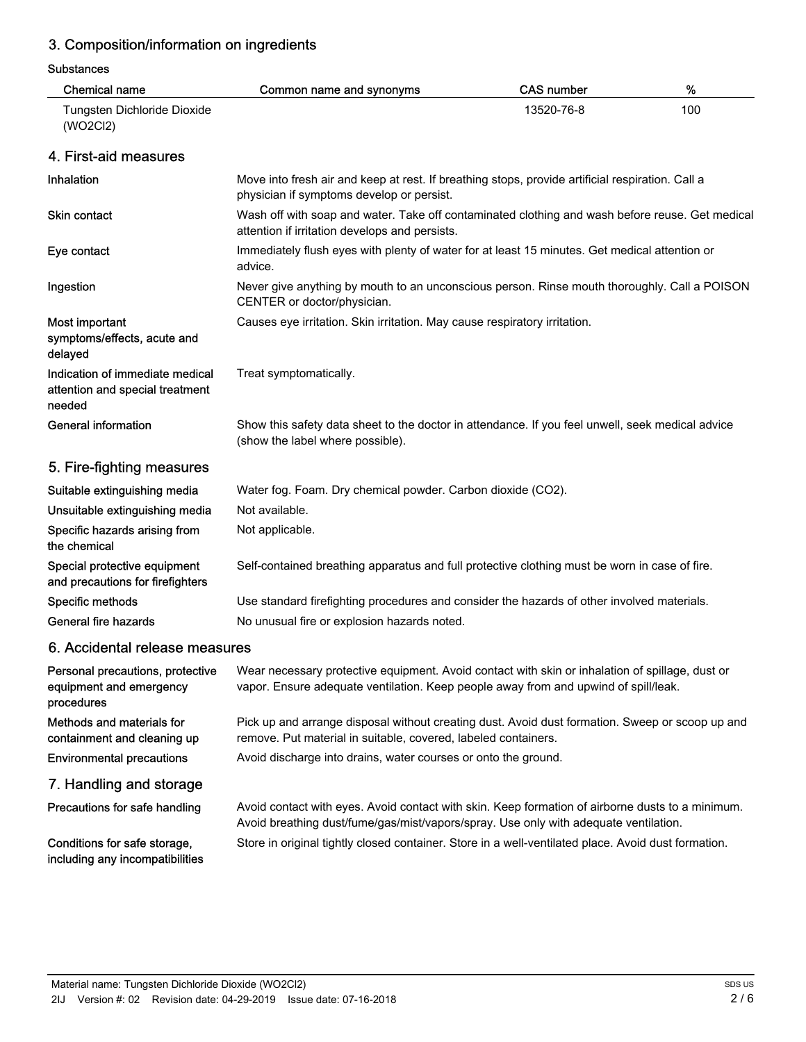# 3. Composition/information on ingredients

#### Substances

| <b>Chemical name</b>                                                         | Common name and synonyms                                                                                                                                                                 | <b>CAS number</b> | %   |
|------------------------------------------------------------------------------|------------------------------------------------------------------------------------------------------------------------------------------------------------------------------------------|-------------------|-----|
| Tungsten Dichloride Dioxide<br>(WO2Cl2)                                      |                                                                                                                                                                                          | 13520-76-8        | 100 |
| 4. First-aid measures                                                        |                                                                                                                                                                                          |                   |     |
| Inhalation                                                                   | Move into fresh air and keep at rest. If breathing stops, provide artificial respiration. Call a<br>physician if symptoms develop or persist.                                            |                   |     |
| <b>Skin contact</b>                                                          | Wash off with soap and water. Take off contaminated clothing and wash before reuse. Get medical<br>attention if irritation develops and persists.                                        |                   |     |
| Eye contact                                                                  | Immediately flush eyes with plenty of water for at least 15 minutes. Get medical attention or<br>advice.                                                                                 |                   |     |
| Ingestion                                                                    | Never give anything by mouth to an unconscious person. Rinse mouth thoroughly. Call a POISON<br>CENTER or doctor/physician.                                                              |                   |     |
| Most important<br>symptoms/effects, acute and<br>delayed                     | Causes eye irritation. Skin irritation. May cause respiratory irritation.                                                                                                                |                   |     |
| Indication of immediate medical<br>attention and special treatment<br>needed | Treat symptomatically.                                                                                                                                                                   |                   |     |
| <b>General information</b>                                                   | Show this safety data sheet to the doctor in attendance. If you feel unwell, seek medical advice<br>(show the label where possible).                                                     |                   |     |
| 5. Fire-fighting measures                                                    |                                                                                                                                                                                          |                   |     |
| Suitable extinguishing media                                                 | Water fog. Foam. Dry chemical powder. Carbon dioxide (CO2).                                                                                                                              |                   |     |
| Unsuitable extinguishing media                                               | Not available.                                                                                                                                                                           |                   |     |
| Specific hazards arising from<br>the chemical                                | Not applicable.                                                                                                                                                                          |                   |     |
| Special protective equipment<br>and precautions for firefighters             | Self-contained breathing apparatus and full protective clothing must be worn in case of fire.                                                                                            |                   |     |
| Specific methods                                                             | Use standard firefighting procedures and consider the hazards of other involved materials.                                                                                               |                   |     |
| General fire hazards                                                         | No unusual fire or explosion hazards noted.                                                                                                                                              |                   |     |
| 6. Accidental release measures                                               |                                                                                                                                                                                          |                   |     |
| Personal precautions, protective<br>equipment and emergency<br>procedures    | Wear necessary protective equipment. Avoid contact with skin or inhalation of spillage, dust or<br>vapor. Ensure adequate ventilation. Keep people away from and upwind of spill/leak.   |                   |     |
| Methods and materials for<br>containment and cleaning up                     | Pick up and arrange disposal without creating dust. Avoid dust formation. Sweep or scoop up and<br>remove. Put material in suitable, covered, labeled containers.                        |                   |     |
| <b>Environmental precautions</b>                                             | Avoid discharge into drains, water courses or onto the ground.                                                                                                                           |                   |     |
| 7. Handling and storage                                                      |                                                                                                                                                                                          |                   |     |
| Precautions for safe handling                                                | Avoid contact with eyes. Avoid contact with skin. Keep formation of airborne dusts to a minimum.<br>Avoid breathing dust/fume/gas/mist/vapors/spray. Use only with adequate ventilation. |                   |     |
| Conditions for safe storage,<br>including any incompatibilities              | Store in original tightly closed container. Store in a well-ventilated place. Avoid dust formation.                                                                                      |                   |     |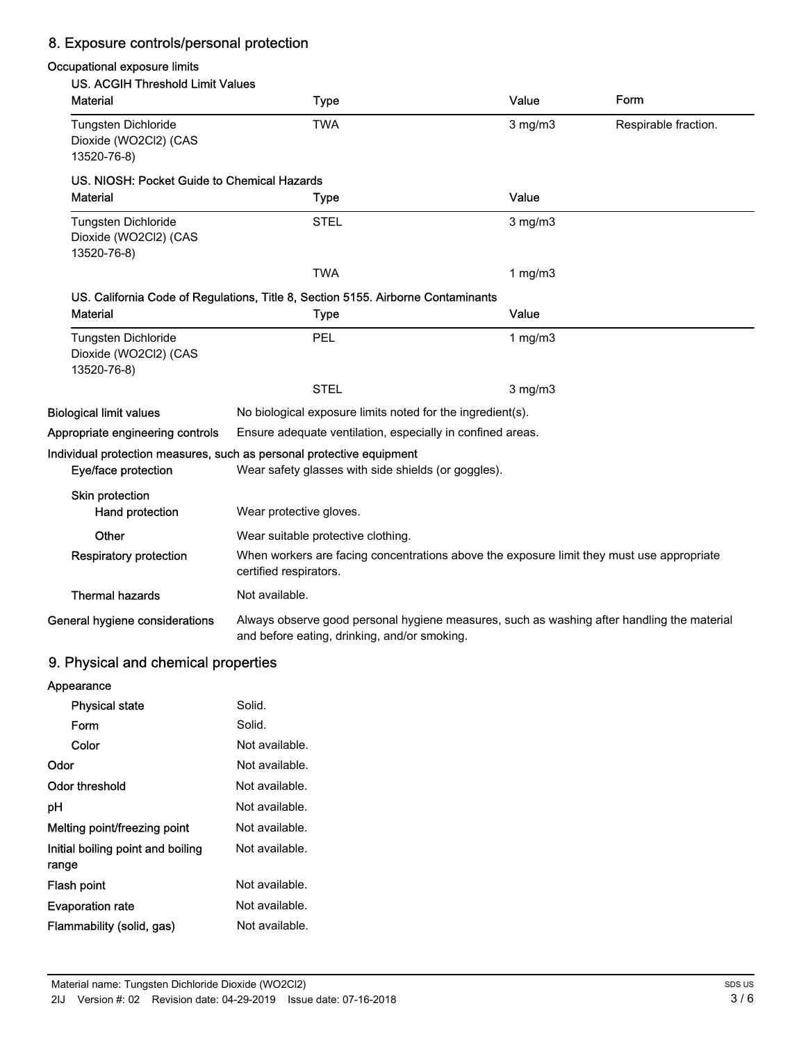# 8. Exposure controls/personal protection

### Occupational exposure limits

| US. ACGIH Threshold Limit Values                                   |                                                                                                                                            |              |                      |
|--------------------------------------------------------------------|--------------------------------------------------------------------------------------------------------------------------------------------|--------------|----------------------|
| <b>Material</b>                                                    | <b>Type</b>                                                                                                                                | Value        | Form                 |
| Tungsten Dichloride<br>Dioxide (WO2Cl2) (CAS<br>13520-76-8)        | TWA                                                                                                                                        | $3$ mg/m $3$ | Respirable fraction. |
| US. NIOSH: Pocket Guide to Chemical Hazards                        |                                                                                                                                            |              |                      |
| <b>Material</b>                                                    | <b>Type</b>                                                                                                                                | Value        |                      |
| <b>Tungsten Dichloride</b><br>Dioxide (WO2Cl2) (CAS<br>13520-76-8) | <b>STEL</b>                                                                                                                                | $3$ mg/m $3$ |                      |
|                                                                    | <b>TWA</b>                                                                                                                                 | 1 mg/m $3$   |                      |
|                                                                    | US. California Code of Regulations, Title 8, Section 5155. Airborne Contaminants                                                           |              |                      |
| <b>Material</b>                                                    | <b>Type</b>                                                                                                                                | Value        |                      |
| Tungsten Dichloride<br>Dioxide (WO2Cl2) (CAS<br>13520-76-8)        | PEL                                                                                                                                        | 1 $mg/m3$    |                      |
|                                                                    | <b>STEL</b>                                                                                                                                | $3$ mg/m $3$ |                      |
| <b>Biological limit values</b>                                     | No biological exposure limits noted for the ingredient(s).                                                                                 |              |                      |
| Appropriate engineering controls                                   | Ensure adequate ventilation, especially in confined areas.                                                                                 |              |                      |
| Eye/face protection                                                | Individual protection measures, such as personal protective equipment<br>Wear safety glasses with side shields (or goggles).               |              |                      |
| Skin protection<br>Hand protection                                 | Wear protective gloves.                                                                                                                    |              |                      |
| Other                                                              | Wear suitable protective clothing.                                                                                                         |              |                      |
| <b>Respiratory protection</b>                                      | When workers are facing concentrations above the exposure limit they must use appropriate<br>certified respirators.                        |              |                      |
| <b>Thermal hazards</b>                                             | Not available.                                                                                                                             |              |                      |
| General hygiene considerations                                     | Always observe good personal hygiene measures, such as washing after handling the material<br>and before eating, drinking, and/or smoking. |              |                      |
| 9. Physical and chemical properties                                |                                                                                                                                            |              |                      |
| $A$ <sub>nne</sub>                                                 |                                                                                                                                            |              |                      |

#### 9. Physical and chemical properties

| Appearance                        |                |
|-----------------------------------|----------------|
| <b>Physical state</b>             | Solid.         |
| Form                              | Solid.         |
| Color                             | Not available. |
| Odor                              | Not available. |
| Odor threshold                    | Not available. |
| рH                                | Not available. |
| Melting point/freezing point      | Not available. |
| Initial boiling point and boiling | Not available. |
| range                             |                |
| Flash point                       | Not available. |
| <b>Evaporation rate</b>           | Not available. |
| Flammability (solid, gas)         | Not available. |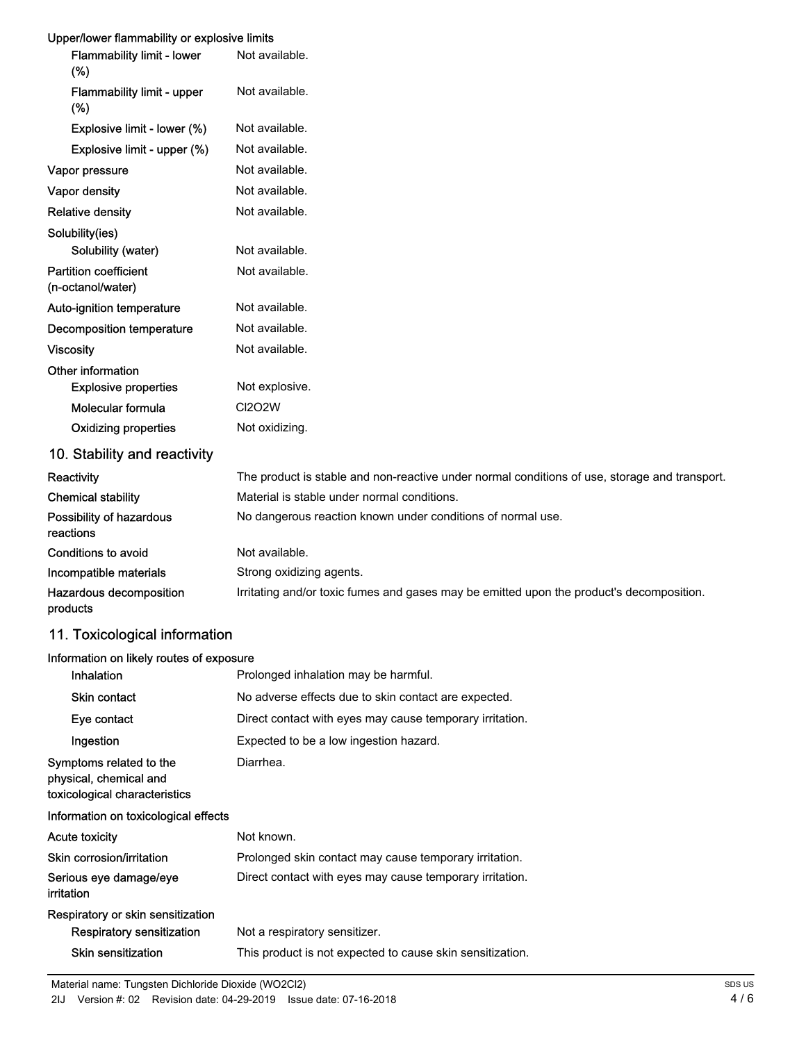## Upper/lower flammability or explosive limits

| <b>Upper/lower hammability or explosive limits</b> |                                                                                               |
|----------------------------------------------------|-----------------------------------------------------------------------------------------------|
| <b>Flammability limit - lower</b><br>(%)           | Not available.                                                                                |
| Flammability limit - upper<br>$(\%)$               | Not available.                                                                                |
| Explosive limit - lower (%)                        | Not available.                                                                                |
| Explosive limit - upper (%)                        | Not available.                                                                                |
| Vapor pressure                                     | Not available.                                                                                |
| Vapor density                                      | Not available.                                                                                |
| <b>Relative density</b>                            | Not available.                                                                                |
| Solubility(ies)                                    |                                                                                               |
| Solubility (water)                                 | Not available.                                                                                |
| <b>Partition coefficient</b><br>(n-octanol/water)  | Not available.                                                                                |
| Auto-ignition temperature                          | Not available.                                                                                |
| Decomposition temperature                          | Not available.                                                                                |
| <b>Viscosity</b>                                   | Not available.                                                                                |
| Other information                                  |                                                                                               |
| <b>Explosive properties</b>                        | Not explosive.                                                                                |
| Molecular formula                                  | <b>CI2O2W</b>                                                                                 |
| <b>Oxidizing properties</b>                        | Not oxidizing.                                                                                |
| 10. Stability and reactivity                       |                                                                                               |
| Reactivity                                         | The product is stable and non-reactive under normal conditions of use, storage and transport. |
| <b>Chemical stability</b>                          | Material is stable under normal conditions.                                                   |
| Possibility of hazardous<br>reactions              | No dangerous reaction known under conditions of normal use.                                   |

| Conditions to avoid     | Not available.                                                                           |
|-------------------------|------------------------------------------------------------------------------------------|
| Incompatible materials  | Strong oxidizing agents.                                                                 |
| Hazardous decomposition | Irritating and/or toxic fumes and gases may be emitted upon the product's decomposition. |
| products                |                                                                                          |

## 11. Toxicological information

#### Information on likely routes of exposure

| Inhalation                                                                         | Prolonged inhalation may be harmful.                      |
|------------------------------------------------------------------------------------|-----------------------------------------------------------|
| <b>Skin contact</b>                                                                | No adverse effects due to skin contact are expected.      |
| Eye contact                                                                        | Direct contact with eyes may cause temporary irritation.  |
| Ingestion                                                                          | Expected to be a low ingestion hazard.                    |
| Symptoms related to the<br>physical, chemical and<br>toxicological characteristics | Diarrhea.                                                 |
| Information on toxicological effects                                               |                                                           |
| <b>Acute toxicity</b>                                                              | Not known.                                                |
| Skin corrosion/irritation                                                          | Prolonged skin contact may cause temporary irritation.    |
| Serious eye damage/eye<br>irritation                                               | Direct contact with eyes may cause temporary irritation.  |
| Respiratory or skin sensitization                                                  |                                                           |
| Respiratory sensitization                                                          | Not a respiratory sensitizer.                             |
| Skin sensitization                                                                 | This product is not expected to cause skin sensitization. |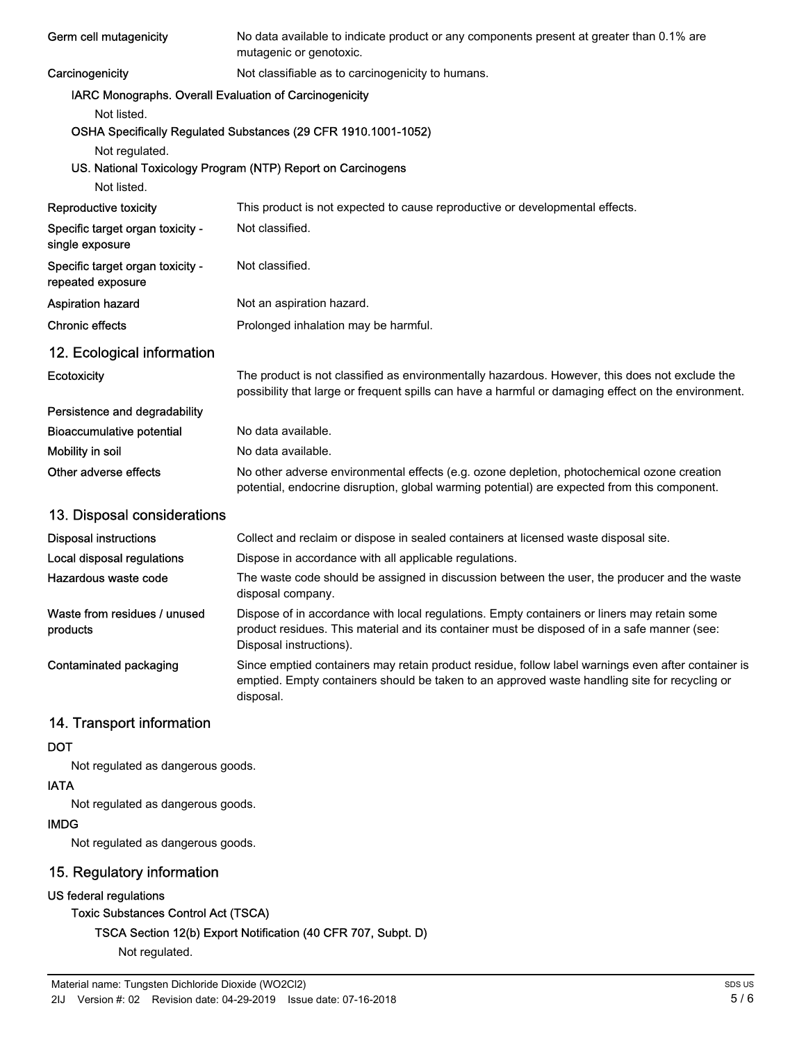| Germ cell mutagenicity                                 | No data available to indicate product or any components present at greater than 0.1% are<br>mutagenic or genotoxic.                                                                                                    |
|--------------------------------------------------------|------------------------------------------------------------------------------------------------------------------------------------------------------------------------------------------------------------------------|
| Carcinogenicity                                        | Not classifiable as to carcinogenicity to humans.                                                                                                                                                                      |
| IARC Monographs. Overall Evaluation of Carcinogenicity |                                                                                                                                                                                                                        |
| Not listed.                                            |                                                                                                                                                                                                                        |
|                                                        | OSHA Specifically Regulated Substances (29 CFR 1910.1001-1052)                                                                                                                                                         |
| Not regulated.                                         |                                                                                                                                                                                                                        |
|                                                        | US. National Toxicology Program (NTP) Report on Carcinogens                                                                                                                                                            |
| Not listed.                                            |                                                                                                                                                                                                                        |
| Reproductive toxicity                                  | This product is not expected to cause reproductive or developmental effects.                                                                                                                                           |
| Specific target organ toxicity -<br>single exposure    | Not classified.                                                                                                                                                                                                        |
| Specific target organ toxicity -<br>repeated exposure  | Not classified.                                                                                                                                                                                                        |
| <b>Aspiration hazard</b>                               | Not an aspiration hazard.                                                                                                                                                                                              |
| <b>Chronic effects</b>                                 | Prolonged inhalation may be harmful.                                                                                                                                                                                   |
| 12. Ecological information                             |                                                                                                                                                                                                                        |
| Ecotoxicity                                            | The product is not classified as environmentally hazardous. However, this does not exclude the<br>possibility that large or frequent spills can have a harmful or damaging effect on the environment.                  |
| Persistence and degradability                          |                                                                                                                                                                                                                        |
| <b>Bioaccumulative potential</b>                       | No data available.                                                                                                                                                                                                     |
| Mobility in soil                                       | No data available.                                                                                                                                                                                                     |
| Other adverse effects                                  | No other adverse environmental effects (e.g. ozone depletion, photochemical ozone creation<br>potential, endocrine disruption, global warming potential) are expected from this component.                             |
| 13. Disposal considerations                            |                                                                                                                                                                                                                        |
| <b>Disposal instructions</b>                           | Collect and reclaim or dispose in sealed containers at licensed waste disposal site.                                                                                                                                   |
| Local disposal regulations                             | Dispose in accordance with all applicable regulations.                                                                                                                                                                 |
| Hazardous waste code                                   | The waste code should be assigned in discussion between the user, the producer and the waste<br>disposal company.                                                                                                      |
| Waste from residues / unused<br>products               | Dispose of in accordance with local regulations. Empty containers or liners may retain some<br>product residues. This material and its container must be disposed of in a safe manner (see:<br>Disposal instructions). |
| Contaminated packaging                                 | Since emptied containers may retain product residue, follow label warnings even after container is<br>emptied. Empty containers should be taken to an approved waste handling site for recycling or<br>disposal.       |
| 14. Transport information                              |                                                                                                                                                                                                                        |
| <b>DOT</b>                                             |                                                                                                                                                                                                                        |

Not regulated as dangerous goods.

#### IATA

Not regulated as dangerous goods.

### IMDG

Not regulated as dangerous goods.

# 15. Regulatory information

### US federal regulations

# Toxic Substances Control Act (TSCA)

TSCA Section 12(b) Export Notification (40 CFR 707, Subpt. D)

Not regulated.